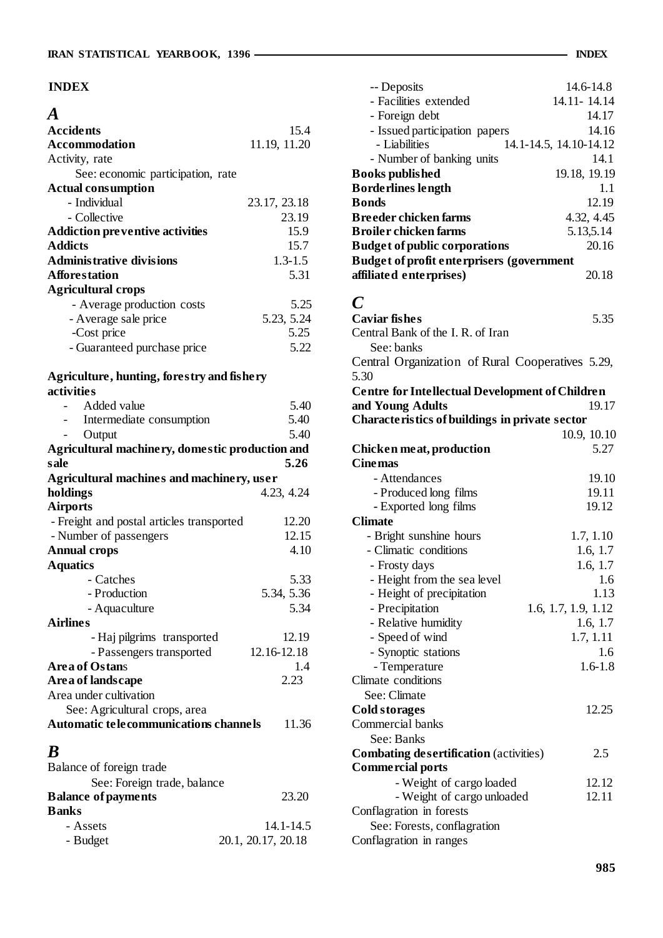## **INDEX**

| $\boldsymbol{A}$                                      |              |
|-------------------------------------------------------|--------------|
| <b>Accidents</b>                                      | 15.4         |
| <b>Accommodation</b>                                  | 11.19, 11.20 |
| Activity, rate                                        |              |
| See: economic participation, rate                     |              |
| <b>Actual consumption</b>                             |              |
| - Individual                                          | 23.17, 23.18 |
| - Collective                                          | 23.19        |
| <b>Addiction preventive activities</b>                | 15.9         |
| <b>Addicts</b>                                        | 15.7         |
| <b>Administrative divisions</b>                       | $1.3 - 1.5$  |
| <b>Afforestation</b>                                  | 5.31         |
| <b>Agricultural crops</b>                             |              |
| - Average production costs                            | 5.25         |
| - Average sale price                                  | 5.23, 5.24   |
| -Cost price                                           | 5.25         |
| - Guaranteed purchase price                           | 5.22         |
|                                                       |              |
| Agriculture, hunting, forestry and fishery            |              |
| activities                                            |              |
| Added value                                           | 5.40         |
| Intermediate consumption                              | 5.40         |
| Output                                                | 5.40         |
| Agricultural machinery, domestic production and       |              |
| sale                                                  | 5.26         |
|                                                       |              |
|                                                       |              |
| Agricultural machines and machinery, user<br>holdings | 4.23, 4.24   |
| <b>Airports</b>                                       |              |
| - Freight and postal articles transported             | 12.20        |
| - Number of passengers                                | 12.15        |
| <b>Annual crops</b>                                   | 4.10         |
| <b>Aquatics</b>                                       |              |
| - Catches                                             | 5.33         |
| - Production                                          | 5.34, 5.36   |
| - Aquaculture                                         | 5.34         |
| <b>Airlines</b>                                       |              |
| - Haj pilgrims transported                            | 12.19        |
| - Passengers transported                              | 12.16-12.18  |
| <b>Area of Ostans</b>                                 | 1.4          |
| Are a of lands cape                                   | 2.23         |
| Area under cultivation                                |              |
| See: Agricultural crops, area                         |              |
| Automatic telecommunications channels                 | 11.36        |
|                                                       |              |
| B                                                     |              |
| Balance of foreign trade                              |              |
| See: Foreign trade, balance                           |              |
| <b>Balance of payments</b><br><b>Banks</b>            | 23.20        |

| Daiiks   |                    |
|----------|--------------------|
| - Assets | 14.1-14.5          |
| - Budget | 20.1, 20.17, 20.18 |

| -- Deposits                                                        | 14.6-14.8              |
|--------------------------------------------------------------------|------------------------|
| - Facilities extended                                              | 14.11-14.14            |
| - Foreign debt                                                     | 14.17                  |
| - Issued participation papers                                      | 14.16                  |
| - Liabilities                                                      | 14.1-14.5, 14.10-14.12 |
| - Number of banking units                                          | 14.1                   |
| <b>Books published</b>                                             | 19.18, 19.19           |
| <b>Borderlines length</b>                                          | 1.1                    |
| <b>Bonds</b>                                                       | 12.19                  |
| <b>Breeder chicken farms</b>                                       | 4.32, 4.45             |
| <b>Broiler chicken farms</b>                                       | 5.13,5.14              |
| <b>Budget of public corporations</b>                               | 20.16                  |
| <b>Budget of profit enterprisers (government</b>                   |                        |
| affiliated enterprises)                                            | 20.18                  |
|                                                                    |                        |
| $\boldsymbol{C}$                                                   |                        |
| <b>Caviar fishes</b>                                               | 5.35                   |
| Central Bank of the I.R. of Iran                                   |                        |
| See: banks                                                         |                        |
| Central Organization of Rural Cooperatives 5.29,                   |                        |
| 5.30                                                               |                        |
| <b>Centre for Intellectual Development of Children</b>             |                        |
| and Young Adults<br>Characteristics of buildings in private sector | 19.17                  |
|                                                                    | 10.9, 10.10            |
|                                                                    | 5.27                   |
| Chicken meat, production                                           |                        |
|                                                                    |                        |
| <b>Cinemas</b>                                                     |                        |
| - Attendances                                                      | 19.10                  |
| - Produced long films                                              | 19.11                  |
| - Exported long films                                              | 19.12                  |
| <b>Climate</b>                                                     |                        |
| - Bright sunshine hours<br>- Climatic conditions                   | 1.7, 1.10              |
|                                                                    | 1.6, 1.7<br>1.6, 1.7   |
| - Frosty days                                                      | 1.6                    |
| - Height from the sea level<br>- Height of precipitation           | 1.13                   |
| - Precipitation                                                    | 1.6, 1.7, 1.9, 1.12    |
| - Relative humidity                                                | 1.6, 1.7               |
| - Speed of wind                                                    | 1.7, 1.11              |
| - Synoptic stations                                                | 1.6                    |
| - Temperature                                                      | $1.6 - 1.8$            |
| Climate conditions                                                 |                        |
| See: Climate                                                       |                        |
| <b>Cold storages</b>                                               | 12.25                  |
| Commercial banks                                                   |                        |
| See: Banks                                                         |                        |
| <b>Combating desertification</b> (activities)                      | 2.5                    |
| <b>Commercial ports</b>                                            |                        |
| - Weight of cargo loaded                                           | 12.12                  |
| - Weight of cargo unloaded                                         | 12.11                  |
| Conflagration in forests                                           |                        |
| See: Forests, conflagration<br>Conflagration in ranges             |                        |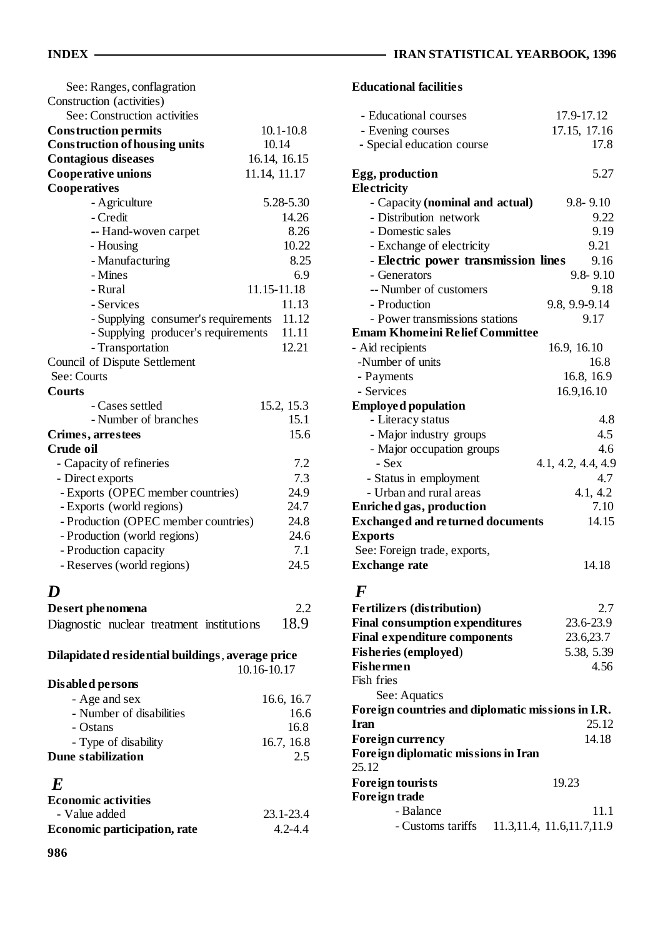| See: Ranges, conflagration           |               |
|--------------------------------------|---------------|
| Construction (activities)            |               |
| See: Construction activities         |               |
| <b>Construction permits</b>          | $10.1 - 10.8$ |
| <b>Construction of housing units</b> | 10.14         |
| <b>Contagious diseases</b>           | 16.14, 16.15  |
| <b>Cooperative unions</b>            | 11.14, 11.17  |
| Cooperatives                         |               |
| - Agriculture                        | 5.28-5.30     |
| - Credit                             | 14.26         |
| -- Hand-woven carpet                 | 8.26          |
| - Housing                            | 10.22         |
| - Manufacturing                      | 8.25          |
| - Mines                              | 6.9           |
| - Rural                              | 11.15-11.18   |
| - Services                           | 11.13         |
| - Supplying consumer's requirements  | 11.12         |
| - Supplying producer's requirements  | 11.11         |
| - Transportation                     | 12.21         |
| Council of Dispute Settlement        |               |
| See: Courts                          |               |
| <b>Courts</b>                        |               |
| - Cases settled                      | 15.2, 15.3    |
| - Number of branches                 | 15.1          |
| Crimes, arrestees                    | 15.6          |
| Crude oil                            |               |
| - Capacity of refineries             | 7.2           |
| - Direct exports                     | 7.3           |
| - Exports (OPEC member countries)    | 24.9          |
| - Exports (world regions)            | 24.7          |
| - Production (OPEC member countries) | 24.8          |
| - Production (world regions)         | 24.6          |
| - Production capacity                | 7.1           |
| - Reserves (world regions)           | 24.5          |
|                                      |               |

# *D*

| Desert phenomena |  |                                           | 2.2  |
|------------------|--|-------------------------------------------|------|
|                  |  | Diagnostic nuclear treatment institutions | 18.9 |

| Dilapidated residential buildings, average price |             |
|--------------------------------------------------|-------------|
|                                                  | 10.16-10.17 |

| Disabled persons          |            |
|---------------------------|------------|
| - Age and sex             | 16.6, 16.7 |
| - Number of disabilities  | 16.6       |
| - Ostans                  | 16.8       |
| - Type of disability      | 16.7, 16.8 |
| <b>Dune stabilization</b> | 2.5        |
|                           |            |

# *E*

| <b>Economic activities</b>          |             |
|-------------------------------------|-------------|
| - Value added                       | 23.1-23.4   |
| <b>Economic participation, rate</b> | $4.2 - 4.4$ |

## **Educational facilities**

| - Educational courses                             | 17.9-17.12                   |
|---------------------------------------------------|------------------------------|
| - Evening courses                                 | 17.15, 17.16                 |
| - Special education course                        | 17.8                         |
|                                                   |                              |
| Egg, production                                   | 5.27                         |
| Electricity                                       |                              |
| - Capacity (nominal and actual)                   | $9.8 - 9.10$                 |
| - Distribution network                            | 9.22                         |
| - Domestic sales                                  | 9.19                         |
| - Exchange of electricity                         | 9.21                         |
| - Electric power transmission lines               | 9.16                         |
| - Generators                                      | $9.8 - 9.10$                 |
| -- Number of customers                            | 9.18                         |
| - Production                                      | 9.8, 9.9-9.14                |
| - Power transmissions stations                    | 9.17                         |
| <b>Emam Khomeini Relief Committee</b>             |                              |
| - Aid recipients                                  | 16.9, 16.10                  |
| -Number of units                                  | 16.8                         |
| - Payments                                        | 16.8, 16.9                   |
| - Services                                        | 16.9,16.10                   |
| <b>Employed population</b>                        |                              |
| - Literacy status                                 | 4.8                          |
| - Major industry groups                           | 4.5                          |
| - Major occupation groups                         | 4.6                          |
| - Sex                                             | 4.1, 4.2, 4.4, 4.9           |
| - Status in employment                            | 4.7                          |
| - Urban and rural areas                           | 4.1, 4.2                     |
| Enriched gas, production                          | 7.10                         |
| <b>Exchanged and returned documents</b>           | 14.15                        |
| <b>Exports</b>                                    |                              |
| See: Foreign trade, exports,                      |                              |
| <b>Exchange rate</b>                              | 14.18                        |
|                                                   |                              |
| $\bm{F}$                                          |                              |
| <b>Fertilizers (distribution)</b>                 | 2.7                          |
| <b>Final consumption expenditures</b>             | 23.6-23.9                    |
| <b>Final expenditure components</b>               | 23.6,23.7                    |
| <b>Fisheries (employed)</b>                       | 5.38, 5.39                   |
| <b>Fishermen</b>                                  | 4.56                         |
| Fish fries                                        |                              |
| See: Aquatics                                     |                              |
| Foreign countries and diplomatic missions in I.R. |                              |
| <b>Iran</b>                                       | 25.12                        |
| <b>Foreign currency</b>                           | 14.18                        |
| Foreign diplomatic missions in Iran               |                              |
| 25.12                                             |                              |
| <b>Foreign tourists</b>                           | 19.23                        |
| <b>Foreign trade</b>                              |                              |
| - Balance                                         | 11.1                         |
| - Customs tariffs                                 | 11.3, 11.4, 11.6, 11.7, 11.9 |
|                                                   |                              |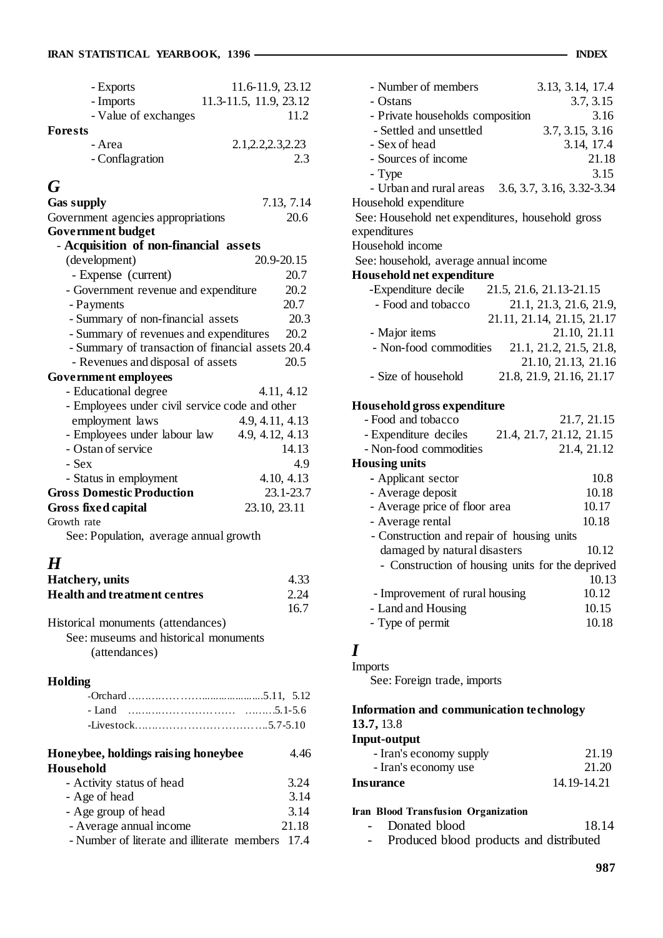| - Exports            | 11.6-11.9, 23.12       |
|----------------------|------------------------|
| - Imports            | 11.3-11.5, 11.9, 23.12 |
| - Value of exchanges | 11.2                   |
| Forests              |                        |
| - Area               | 2.1, 2.2, 2.3, 2.23    |
| - Conflagration      | 2.3                    |
|                      |                        |

## *G*

| <b>Gas supply</b>                                 | 7.13, 7.14      |
|---------------------------------------------------|-----------------|
| Government agencies appropriations                | 20.6            |
| <b>Government budget</b>                          |                 |
| - Acquisition of non-financial assets             |                 |
| (development)                                     | 20.9-20.15      |
| - Expense (current)                               | 20.7            |
| - Government revenue and expenditure              | 20.2            |
| - Payments                                        | 20.7            |
| - Summary of non-financial assets                 | 20.3            |
| - Summary of revenues and expenditures            | 20.2            |
| - Summary of transaction of financial assets 20.4 |                 |
| - Revenues and disposal of assets                 | 20.5            |
| Government employees                              |                 |
| - Educational degree                              | 4.11, 4.12      |
| - Employees under civil service code and other    |                 |
| employment laws                                   | 4.9, 4.11, 4.13 |
| - Employees under labour law                      | 4.9, 4.12, 4.13 |
| - Ostan of service                                | 14.13           |
| - Sex                                             | 4.9             |
| - Status in employment                            | 4.10, 4.13      |
| <b>Gross Domestic Production</b>                  | 23.1-23.7       |
| <b>Gross fixed capital</b>                        | 23.10, 23.11    |
| Growth rate                                       |                 |
| See: Population, average annual growth            |                 |
| H                                                 |                 |
| Hatchery, units                                   | 4.33            |
| <b>Health and treatment centres</b>               | 2.24            |
|                                                   | 16.7            |
| Historical monuments (attendances)                |                 |
| See: museums and historical monuments             |                 |
| (attendances)                                     |                 |
| Holding                                           |                 |

| Honeybee, holdings raising honeybee | 4.46  |
|-------------------------------------|-------|
| Household                           |       |
| - Activity status of head           | 3.24  |
| - Age of head                       | 3.14  |
| - Age group of head                 | 3.14  |
| - Average annual income             | 21.18 |

- Number of literate and illiterate members 17.4

| - Number of members                              | 3.13, 3.14, 17.4                                 |
|--------------------------------------------------|--------------------------------------------------|
| - Ostans                                         | 3.7, 3.15                                        |
| - Private households composition                 | 3.16                                             |
| - Settled and unsettled                          | 3.7, 3.15, 3.16                                  |
| - Sex of head                                    | 3.14, 17.4                                       |
| - Sources of income                              | 21.18                                            |
|                                                  | 3.15                                             |
| - Type                                           |                                                  |
| - Urban and rural areas<br>Household expenditure | 3.6, 3.7, 3.16, 3.32-3.34                        |
| See: Household net expenditures, household gross |                                                  |
| expenditures                                     |                                                  |
| Household income                                 |                                                  |
|                                                  |                                                  |
| See: household, average annual income            |                                                  |
| Household net expenditure                        |                                                  |
| -Expenditure decile                              | 21.5, 21.6, 21.13-21.15                          |
| - Food and tobacco                               | 21.1, 21.3, 21.6, 21.9,                          |
|                                                  | 21.11, 21.14, 21.15, 21.17                       |
| - Major items                                    | 21.10, 21.11                                     |
| - Non-food commodities                           | 21.1, 21.2, 21.5, 21.8,                          |
|                                                  | 21.10, 21.13, 21.16                              |
| - Size of household                              | 21.8, 21.9, 21.16, 21.17                         |
| Household gross expenditure                      |                                                  |
| - Food and tobacco                               | 21.7, 21.15                                      |
| - Expenditure deciles                            | 21.4, 21.7, 21.12, 21.15                         |
| - Non-food commodities                           | 21.4, 21.12                                      |
| <b>Housing units</b>                             |                                                  |
| - Applicant sector                               | 10.8                                             |
| - Average deposit                                | 10.18                                            |
|                                                  | 10.17                                            |
| - Average price of floor area                    |                                                  |
| - Average rental                                 | 10.18                                            |
| - Construction and repair of housing units       |                                                  |
| damaged by natural disasters                     | 10.12                                            |
|                                                  | - Construction of housing units for the deprived |
|                                                  | 10.13                                            |
| - Improvement of rural housing                   | 10.12                                            |
| - Land and Housing                               | 10.15                                            |
| - Type of permit                                 | 10.18                                            |
|                                                  |                                                  |
| I                                                |                                                  |
| Imports                                          |                                                  |

See: Foreign trade, imports

#### **Information and communication technology 13.7,** 13.8

**Input-output** 

| - Iran's economy supply | 21.19       |
|-------------------------|-------------|
| - Iran's economy use    | 21.20       |
| <b>Insurance</b>        | 14.19-14.21 |

#### **Iran Blood Transfusion Organization**

|  |  | Donated blood | 18.14 |
|--|--|---------------|-------|
|--|--|---------------|-------|

- Produced blood products and distributed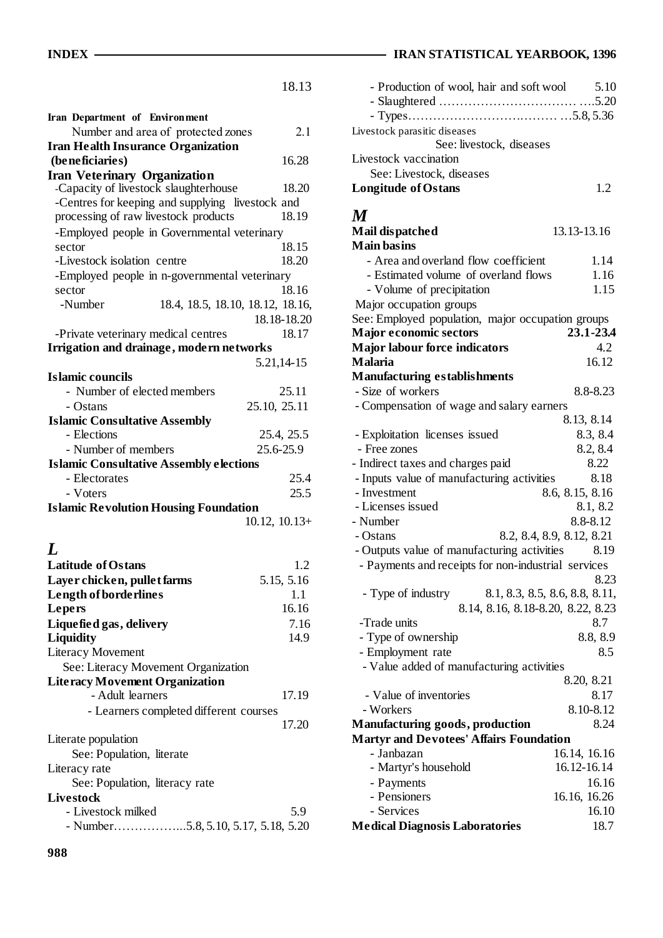|                                                  | 18.13                            |
|--------------------------------------------------|----------------------------------|
|                                                  |                                  |
| Iran Department of Environment                   |                                  |
| Number and area of protected zones               | 2.1                              |
| <b>Iran Health Insurance Organization</b>        |                                  |
| (beneficiaries)                                  | 16.28                            |
| <b>Iran Veterinary Organization</b>              |                                  |
| -Capacity of livestock slaughterhouse            | 18.20                            |
| -Centres for keeping and supplying livestock and |                                  |
| processing of raw livestock products             | 18.19                            |
| -Employed people in Governmental veterinary      |                                  |
| sector                                           | 18.15                            |
| -Livestock isolation centre                      | 18.20                            |
| -Employed people in n-governmental veterinary    |                                  |
| sector                                           | 18.16                            |
| -Number                                          | 18.4, 18.5, 18.10, 18.12, 18.16, |
|                                                  | 18.18-18.20                      |
| -Private veterinary medical centres              | 18.17                            |
| Irrigation and drainage, modern networks         |                                  |
|                                                  | 5.21,14-15                       |
| Islamic councils                                 |                                  |
| - Number of elected members                      | 25.11                            |
| - Ostans                                         | 25.10, 25.11                     |
| <b>Islamic Consultative Assembly</b>             |                                  |
| - Elections                                      | 25.4, 25.5                       |
| - Number of members                              | 25.6-25.9                        |
| <b>Islamic Consultative Assembly elections</b>   |                                  |
| - Electorates                                    | 25.4                             |
| - Voters                                         | 25.5                             |
| <b>Islamic Revolution Housing Foundation</b>     |                                  |
|                                                  | $10.12, 10.13+$                  |
|                                                  |                                  |
| L                                                |                                  |
| <b>Latitude of Ostans</b>                        | 1.2                              |
| Layer chicken, pullet farms                      | 5.15, 5.16                       |
|                                                  |                                  |
|                                                  |                                  |
| Length of borderlines                            | 1.1                              |
| Lepers                                           | 16.16                            |
| Liquefied gas, delivery                          | 7.16                             |
| <b>Liquidity</b>                                 | 14.9                             |
| <b>Literacy Movement</b>                         |                                  |
| See: Literacy Movement Organization              |                                  |
| <b>Literacy Movement Organization</b>            |                                  |
| - Adult learners                                 | 17.19                            |
| - Learners completed different courses           |                                  |
|                                                  | 17.20                            |
| Literate population                              |                                  |
| See: Population, literate                        |                                  |
| Literacy rate                                    |                                  |
| See: Population, literacy rate                   |                                  |
| <b>Livestock</b>                                 |                                  |
| - Livestock milked                               | 5.9                              |

### **INDEX** IRAN STATISTICAL YEARBOOK, 1396

| - Production of wool, hair and soft wool 5.10 |    |
|-----------------------------------------------|----|
|                                               |    |
| Livestock parasitic diseases                  |    |
| See: livestock, diseases                      |    |
| Livestock vaccination                         |    |
| See: Livestock, diseases                      |    |
| <b>Longitude of Ostans</b>                    | 12 |
|                                               |    |

# *M*

| Mail dispatched                                     | 13.13-13.16                    |
|-----------------------------------------------------|--------------------------------|
| <b>Main basins</b>                                  |                                |
| - Area and overland flow coefficient                | 1.14                           |
| - Estimated volume of overland flows                | 1.16                           |
| - Volume of precipitation                           | 1.15                           |
| Major occupation groups                             |                                |
| See: Employed population, major occupation groups   |                                |
| <b>Major economic sectors</b>                       | 23.1-23.4                      |
| <b>Major labour force indicators</b>                | 4.2                            |
| <b>Malaria</b>                                      | 16.12                          |
| <b>Manufacturing establishments</b>                 |                                |
| - Size of workers                                   | 8.8-8.23                       |
| - Compensation of wage and salary earners           |                                |
|                                                     | 8.13, 8.14                     |
| - Exploitation licenses issued                      | 8.3, 8.4                       |
| - Free zones                                        | 8.2, 8.4                       |
| - Indirect taxes and charges paid                   | 8.22                           |
| - Inputs value of manufacturing activities          | 8.18                           |
| - Investment                                        | 8.6, 8.15, 8.16                |
| - Licenses issued                                   | 8.1, 8.2                       |
| - Number                                            | 8.8-8.12                       |
| - Ostans                                            | 8.2, 8.4, 8.9, 8.12, 8.21      |
| - Outputs value of manufacturing activities         | 8.19                           |
| - Payments and receipts for non-industrial services |                                |
|                                                     | 8.23                           |
| - Type of industry                                  | 8.1, 8.3, 8.5, 8.6, 8.8, 8.11, |
| 8.14, 8.16, 8.18-8.20, 8.22, 8.23                   |                                |
| -Trade units                                        | 8.7                            |
| - Type of ownership                                 | 8.8, 8.9                       |
| - Employment rate                                   | 8.5                            |
| - Value added of manufacturing activities           |                                |
|                                                     | 8.20, 8.21                     |
| - Value of inventories                              | 8.17                           |
| - Workers                                           | 8.10-8.12                      |
| Manufacturing goods, production                     | 8.24                           |
| <b>Martyr and Devotees' Affairs Foundation</b>      |                                |
| - Janbazan                                          | 16.14, 16.16                   |
| - Martyr's household                                | 16.12-16.14                    |
| - Payments                                          | 16.16                          |
| - Pensioners                                        | 16.16, 16.26                   |
| - Services                                          | 16.10                          |
| <b>Medical Diagnosis Laboratories</b>               | 18.7                           |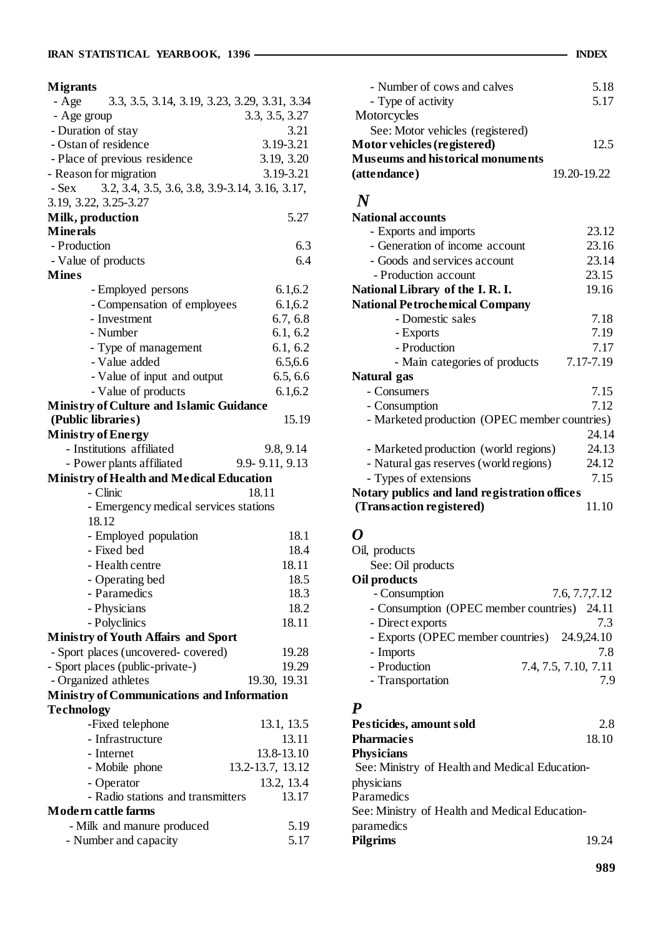| <b>Migrants</b>                                           |                  |
|-----------------------------------------------------------|------------------|
| - Age<br>3.3, 3.5, 3.14, 3.19, 3.23, 3.29, 3.31, 3.34     |                  |
| - Age group                                               | 3.3, 3.5, 3.27   |
| - Duration of stay                                        | 3.21             |
| - Ostan of residence                                      | 3.19-3.21        |
| - Place of previous residence                             | 3.19, 3.20       |
| - Reason for migration                                    | 3.19-3.21        |
| 3.2, 3.4, 3.5, 3.6, 3.8, 3.9-3.14, 3.16, 3.17,<br>$-$ Sex |                  |
| 3.19, 3.22, 3.25-3.27                                     |                  |
| Milk, production                                          | 5.27             |
| <b>Minerals</b>                                           |                  |
| - Production                                              | 6.3              |
| - Value of products                                       | 6.4              |
| <b>Mines</b>                                              |                  |
|                                                           | 6.1, 6.2         |
| - Employed persons                                        |                  |
| - Compensation of employees                               | 6.1, 6.2         |
| - Investment                                              | 6.7, 6.8         |
| - Number                                                  | 6.1, 6.2         |
| - Type of management                                      | 6.1, 6.2         |
| - Value added                                             | 6.5,6.6          |
| - Value of input and output                               | 6.5, 6.6         |
| - Value of products                                       | 6.1, 6.2         |
| <b>Ministry of Culture and Islamic Guidance</b>           |                  |
| (Public libraries)                                        | 15.19            |
| <b>Ministry of Energy</b>                                 |                  |
| - Institutions affiliated                                 | 9.8, 9.14        |
| - Power plants affiliated                                 | 9.9-9.11, 9.13   |
| <b>Ministry of Health and Medical Education</b>           |                  |
| - Clinic                                                  | 18.11            |
| - Emergency medical services stations                     |                  |
| 18.12                                                     |                  |
| - Employed population                                     | 18.1             |
| - Fixed bed                                               | 18.4             |
|                                                           |                  |
|                                                           |                  |
| - Health centre                                           | 18.11            |
| - Operating bed                                           | 18.5             |
| - Paramedics                                              | 18.3             |
| - Physicians                                              | 18.2             |
| - Polyclinics                                             | 18.11            |
| <b>Ministry of Youth Affairs and Sport</b>                |                  |
| - Sport places (uncovered-covered)                        | 19.28            |
| - Sport places (public-private-)                          | 19.29            |
| - Organized athletes                                      | 19.30, 19.31     |
| <b>Ministry of Communications and Information</b>         |                  |
| <b>Technology</b>                                         |                  |
| -Fixed telephone                                          | 13.1, 13.5       |
| - Infrastructure                                          | 13.11            |
| - Internet                                                | 13.8-13.10       |
| - Mobile phone                                            | 13.2-13.7, 13.12 |
| - Operator                                                | 13.2, 13.4       |
| - Radio stations and transmitters                         | 13.17            |
| Modern cattle farms                                       |                  |
| - Milk and manure produced                                | 5.19<br>5.17     |

| - Number of cows and calves             | 5.18        |
|-----------------------------------------|-------------|
| - Type of activity                      | 5.17        |
| Motorcycles                             |             |
| See: Motor vehicles (registered)        |             |
| Motor vehicles (registered)             | 12.5        |
| <b>Museums and historical monuments</b> |             |
| (attendance)                            | 19.20-19.22 |

# *N*

| <b>National accounts</b>                      |           |
|-----------------------------------------------|-----------|
| - Exports and imports                         | 23.12     |
| - Generation of income account                | 23.16     |
| - Goods and services account                  | 23.14     |
| - Production account                          | 23.15     |
| National Library of the I.R.I.                | 19.16     |
| <b>National Petrochemical Company</b>         |           |
| - Domestic sales                              | 7.18      |
| - Exports                                     | 7.19      |
| - Production                                  | 7.17      |
| - Main categories of products                 | 7.17-7.19 |
| Natural gas                                   |           |
| - Consumers                                   | 7.15      |
| - Consumption                                 | 7.12      |
| - Marketed production (OPEC member countries) |           |
|                                               | 24.14     |
| - Marketed production (world regions)         | 24.13     |
| - Natural gas reserves (world regions)        | 24.12     |
| - Types of extensions                         | 7.15      |
| Notary publics and land registration offices  |           |
| (Transaction registered)                      | 11.10     |

## *O*

| Oil, products                               |                      |
|---------------------------------------------|----------------------|
| See: Oil products                           |                      |
| Oil products                                |                      |
| - Consumption                               | 7.6, 7.7, 7.12       |
| - Consumption (OPEC member countries) 24.11 |                      |
| - Direct exports                            | 7.3                  |
| - Exports (OPEC member countries)           | 24.9,24.10           |
| - Imports                                   | 7.8                  |
| - Production                                | 7.4, 7.5, 7.10, 7.11 |
| - Transportation                            | 7 Q                  |
|                                             |                      |

### *P*

| Pesticides, amount sold                        | 2.8   |
|------------------------------------------------|-------|
| <b>Pharmacies</b>                              | 18.10 |
| <b>Physicians</b>                              |       |
| See: Ministry of Health and Medical Education- |       |
| physicians                                     |       |
| Paramedics                                     |       |
| See: Ministry of Health and Medical Education- |       |
| paramedics                                     |       |
| <b>Pilgrims</b>                                | 19.24 |
|                                                |       |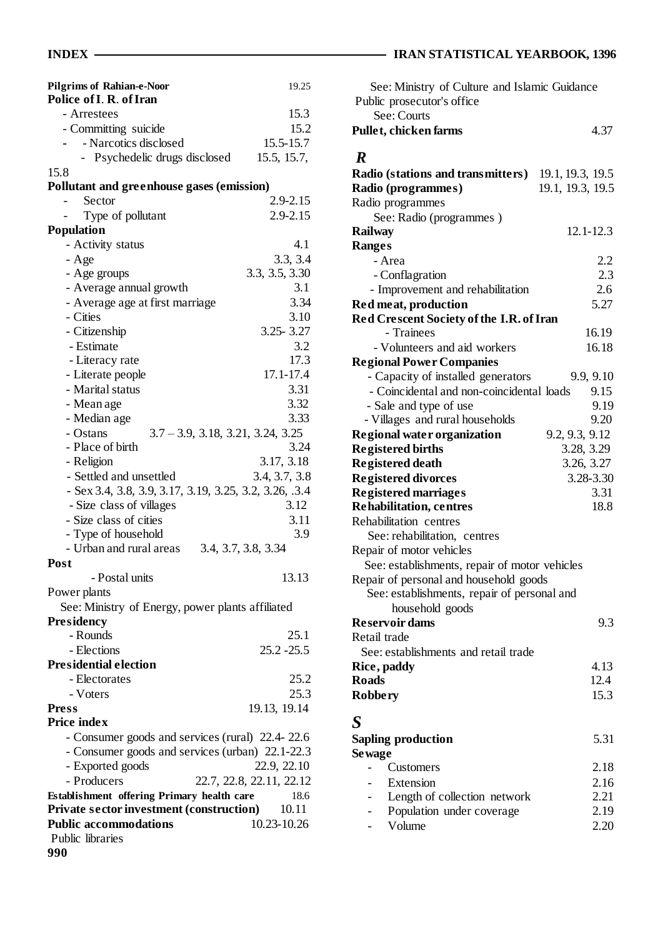| <b>Pilgrims of Rahian-e-Noor</b><br>Police of I. R. of Iran | 19.25                    |
|-------------------------------------------------------------|--------------------------|
| - Arrestees                                                 | 15.3                     |
| - Committing suicide                                        | 15.2                     |
| - Narcotics disclosed                                       | 15.5-15.7                |
| Psychedelic drugs disclosed                                 | 15.5, 15.7,              |
| 15.8                                                        |                          |
| Pollutant and greenhouse gases (emission)                   |                          |
| Sector                                                      | $2.9 - 2.15$             |
| Type of pollutant                                           | 2.9-2.15                 |
| <b>Population</b>                                           |                          |
| - Activity status                                           | 4.1                      |
| - Age                                                       | 3.3, 3.4                 |
| - Age groups                                                | 3.3, 3.5, 3.30           |
| - Average annual growth                                     | 3.1                      |
| - Average age at first marriage                             | 3.34                     |
| - Cities                                                    | 3.10                     |
| - Citizenship                                               | $3.25 - 3.27$            |
| - Estimate                                                  | 3.2                      |
| - Literacy rate                                             | 17.3                     |
| - Literate people                                           | 17.1-17.4                |
| - Marital status                                            | 3.31                     |
| - Mean age                                                  | 3.32                     |
| - Median age                                                | 3.33                     |
| - Ostans<br>$3.7 - 3.9$ , $3.18$ , $3.21$ , $3.24$ , $3.25$ |                          |
| - Place of birth                                            | 3.24                     |
| - Religion                                                  | 3.17, 3.18               |
| - Settled and unsettled                                     | 3.4, 3.7, 3.8            |
| - Sex 3.4, 3.8, 3.9, 3.17, 3.19, 3.25, 3.2, 3.26, .3.4      |                          |
| - Size class of villages                                    | 3.12                     |
| - Size class of cities                                      | 3.11                     |
| - Type of household                                         | 3.9                      |
| - Urban and rural areas                                     | 3.4, 3.7, 3.8, 3.34      |
| Post                                                        |                          |
| - Postal units                                              | 13.13                    |
| Power plants                                                |                          |
| See: Ministry of Energy, power plants affiliated            |                          |
| Presidency                                                  |                          |
| - Rounds                                                    | 25.1                     |
| - Elections                                                 | $25.2 - 25.5$            |
| <b>Presidential election</b>                                |                          |
| - Electorates                                               | 25.2                     |
| - Voters                                                    | 25.3                     |
| <b>Press</b>                                                | 19.13, 19.14             |
| <b>Price index</b>                                          |                          |
| - Consumer goods and services (rural) 22.4-22.6             |                          |
| - Consumer goods and services (urban) 22.1-22.3             |                          |
| - Exported goods                                            | 22.9, 22.10              |
| - Producers                                                 | 22.7, 22.8, 22.11, 22.12 |
| Establishment offering Primary health care                  | 18.6                     |
| <b>Private sector investment (construction)</b> 10.11       |                          |
| <b>Public accommodations</b>                                | 10.23-10.26              |
| Public libraries                                            |                          |
| 990                                                         |                          |

# **INDEX** IRAN STATISTICAL YEARBOOK, 1396

| See: Ministry of Culture and Islamic Guidance<br>Public prosecutor's office<br>See: Courts |                  |
|--------------------------------------------------------------------------------------------|------------------|
| Pullet, chicken farms                                                                      | 4.37             |
| $\boldsymbol{R}$                                                                           |                  |
| <b>Radio (stations and transmitters)</b>                                                   | 19.1, 19.3, 19.5 |
| Radio (programmes)                                                                         | 19.1, 19.3, 19.5 |
| Radio programmes                                                                           |                  |
| See: Radio (programmes)                                                                    |                  |
| <b>Railway</b>                                                                             | $12.1 - 12.3$    |
| Ranges                                                                                     |                  |
| - Area                                                                                     | 2.2              |
| - Conflagration                                                                            | 2.3              |
| - Improvement and rehabilitation                                                           | 2.6              |
| Red meat, production                                                                       | 5.27             |
| Red Crescent Society of the I.R. of Iran                                                   |                  |
| - Trainees                                                                                 | 16.19            |
| - Volunteers and aid workers                                                               | 16.18            |
|                                                                                            |                  |
| <b>Regional Power Companies</b><br>- Capacity of installed generators                      | 9.9, 9.10        |
| - Coincidental and non-coincidental loads                                                  | 9.15             |
|                                                                                            | 9.19             |
| - Sale and type of use                                                                     | 9.20             |
| - Villages and rural households                                                            |                  |
| <b>Regional water organization</b>                                                         | 9.2, 9.3, 9.12   |
| <b>Registered births</b>                                                                   | 3.28, 3.29       |
| <b>Registered death</b>                                                                    | 3.26, 3.27       |
| <b>Registered divorces</b>                                                                 | 3.28-3.30        |
| <b>Registered marriages</b>                                                                | 3.31             |
| <b>Rehabilitation, centres</b>                                                             | 18.8             |
| Rehabilitation centres                                                                     |                  |
| See: rehabilitation, centres                                                               |                  |
| Repair of motor vehicles                                                                   |                  |
| See: establishments, repair of motor vehicles                                              |                  |
| Repair of personal and household goods                                                     |                  |
| See: establishments, repair of personal and                                                |                  |
| household goods                                                                            |                  |
| <b>Reservoir dams</b>                                                                      | 9.3              |
| Retail trade                                                                               |                  |
| See: establishments and retail trade                                                       |                  |
| Rice, paddy                                                                                | 4.13             |
| <b>Roads</b>                                                                               | 12.4             |
| <b>Robbery</b>                                                                             | 15.3             |
| $\boldsymbol{S}$                                                                           |                  |
| <b>Sapling production</b>                                                                  | 5.31             |
| Se wage                                                                                    |                  |
| Customers                                                                                  | 2.18             |
| Extension                                                                                  | 2.16             |
| Length of collection network                                                               | 2.21             |
| Population under coverage                                                                  | 2.19             |
| Volume                                                                                     | 2.20             |
|                                                                                            |                  |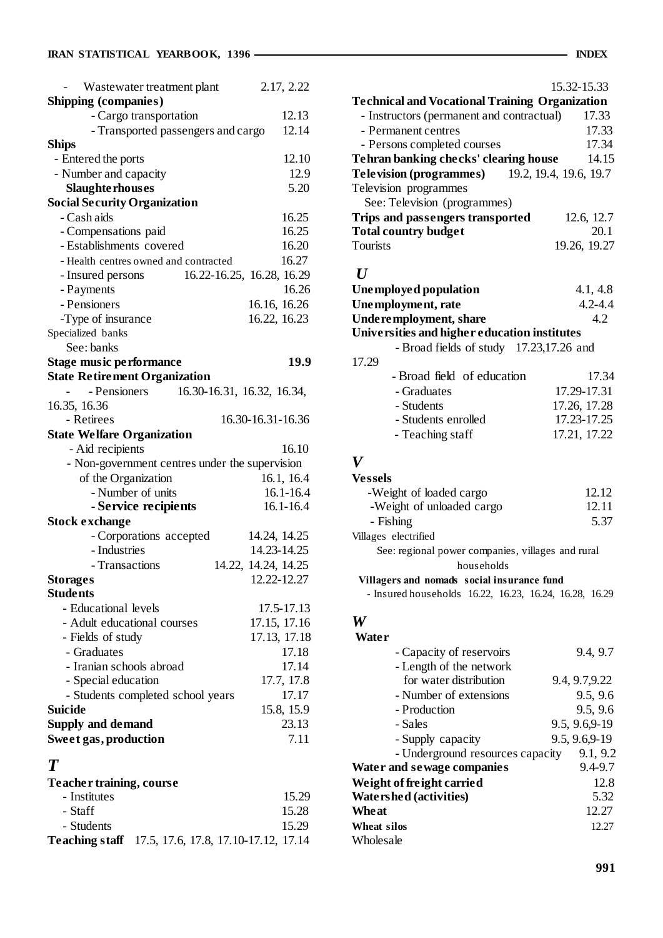| Wastewater treatment plant                     | 2.17, 2.22          |
|------------------------------------------------|---------------------|
| <b>Shipping (companies)</b>                    |                     |
| - Cargo transportation                         | 12.13               |
| - Transported passengers and cargo             | 12.14               |
| <b>Ships</b>                                   |                     |
| - Entered the ports                            | 12.10               |
| - Number and capacity                          | 12.9                |
| <b>Slaughterhouses</b>                         | 5.20                |
| <b>Social Security Organization</b>            |                     |
| - Cash aids                                    | 16.25               |
| - Compensations paid                           | 16.25               |
| - Establishments covered                       | 16.20               |
| - Health centres owned and contracted          | 16.27               |
| 16.22-16.25, 16.28, 16.29<br>- Insured persons |                     |
| - Payments                                     | 16.26               |
| - Pensioners                                   | 16.16, 16.26        |
| -Type of insurance                             | 16.22, 16.23        |
| Specialized banks                              |                     |
| See: banks                                     |                     |
| <b>Stage music performance</b>                 | 19.9                |
| <b>State Retirement Organization</b>           |                     |
| - Pensioners<br>16.30-16.31, 16.32, 16.34,     |                     |
| 16.35, 16.36                                   |                     |
| - Retirees                                     | 16.30-16.31-16.36   |
| <b>State Welfare Organization</b>              |                     |
| - Aid recipients                               | 16.10               |
| - Non-government centres under the supervision |                     |
| of the Organization                            | 16.1, 16.4          |
| - Number of units                              | $16.1 - 16.4$       |
| - Service recipients                           | 16.1-16.4           |
| <b>Stock exchange</b>                          |                     |
| - Corporations accepted                        | 14.24, 14.25        |
| - Industries                                   | 14.23-14.25         |
| - Transactions                                 | 14.22, 14.24, 14.25 |
| <b>Storages</b>                                | 12.22-12.27         |
| <b>Students</b>                                |                     |
| - Educational levels                           | 17.5-17.13          |
| - Adult educational courses                    | 17.15, 17.16        |
| - Fields of study                              | 17.13, 17.18        |
| - Graduates                                    | 17.18               |
| - Iranian schools abroad                       | 17.14               |
| - Special education                            | 17.7, 17.8          |
| - Students completed school years              | 17.17               |
| <b>Suicide</b>                                 | 15.8, 15.9          |
| <b>Supply and demand</b>                       | 23.13               |
| Sweet gas, production                          | 7.11                |
| $\bm{T}$                                       |                     |

### **Teacher training, course** - Institutes 15.29 - Staff 15.28

| - Students                                                 |  |  | 15.29 |
|------------------------------------------------------------|--|--|-------|
| <b>Teaching staff</b> 17.5, 17.6, 17.8, 17.10-17.12, 17.14 |  |  |       |

|                                                       | 15.32-15.33  |
|-------------------------------------------------------|--------------|
| <b>Technical and Vocational Training Organization</b> |              |
| - Instructors (permanent and contractual)             | 17.33        |
| - Permanent centres                                   | 17.33        |
| - Persons completed courses                           | 17.34        |
| Tehran banking checks' clearing house                 | 14.15        |
| <b>Television (programmes)</b> 19.2, 19.4, 19.6, 19.7 |              |
| Television programmes                                 |              |
| See: Television (programmes)                          |              |
| Trips and passengers transported                      | 12.6, 12.7   |
| <b>Total country budget</b>                           | 20.1         |
| <b>Tourists</b>                                       | 19.26, 19.27 |
| $\bm{I}$                                              |              |
| <b>Unemployed population</b>                          | 4.1, 4.8     |
| Unemployment, rate                                    | $4.2 - 4.4$  |
| Underemployment, share                                | 4.2          |

# **Universities and higher education institutes**

- Broad fields of study 17.23,17.26 and

| 17.29 |                            |              |
|-------|----------------------------|--------------|
|       | - Broad field of education | 17.34        |
|       | - Graduates                | 17.29-17.31  |
|       | - Students                 | 17.26, 17.28 |
|       | - Students enrolled        | 17.23-17.25  |
|       | - Teaching staff           | 17.21, 17.22 |

### *V*

| <b>Vessels</b>                                    |       |
|---------------------------------------------------|-------|
| -Weight of loaded cargo                           | 12.12 |
| -Weight of unloaded cargo                         | 12.11 |
| - Fishing                                         | 5.37  |
| Villages electrified                              |       |
| See: regional power companies, villages and rural |       |
| households                                        |       |

#### **Villagers and nomads social insurance fund**

- Insured households 16.22, 16.23, 16.24, 16.28, 16.29

## *W*

| Water                            |                |
|----------------------------------|----------------|
| - Capacity of reservoirs         | 9.4, 9.7       |
| - Length of the network          |                |
| for water distribution           | 9.4, 9.7, 9.22 |
| - Number of extensions           | 9.5, 9.6       |
| - Production                     | 9.5, 9.6       |
| - Sales                          | 9.5, 9.6, 9-19 |
| - Supply capacity                | 9.5, 9.6, 9-19 |
| - Underground resources capacity | 9.1, 9.2       |
| Water and sewage companies       | $9.4 - 9.7$    |
| Weight of freight carried        | 12.8           |
| <b>Watershed (activities)</b>    | 5.32           |
| Wheat                            | 12.27          |
| Wheat silos                      | 12.27          |
| Wholesale                        |                |
|                                  |                |